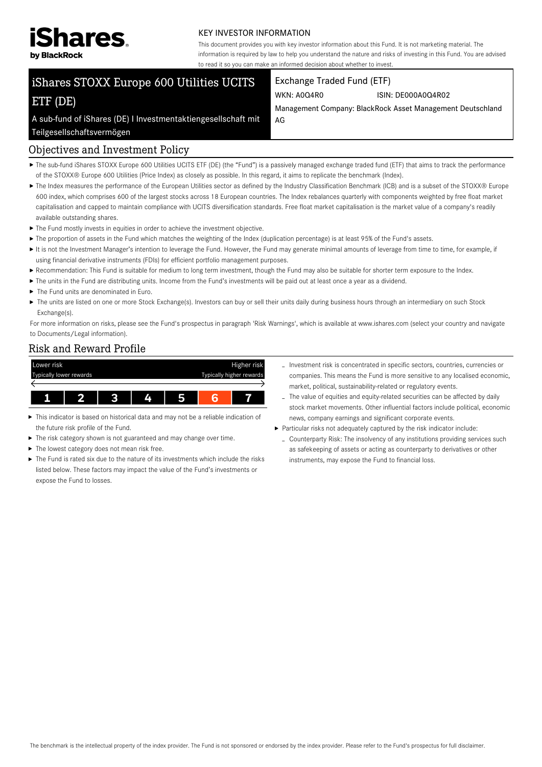

#### KEY INVESTOR INFORMATION

This document provides you with key investor information about this Fund. It is not marketing material. The information is required by law to help you understand the nature and risks of investing in this Fund. You are advised to read it so you can make an informed decision about whether to invest.

# iShares STOXX Europe 600 Utilities UCITS ETF (DE)

#### Exchange Traded Fund (ETF)

WKN: A0Q4R0 ISIN: DE000A0Q4R02

Management Company: BlackRock Asset Management Deutschland AG

A sub-fund of iShares (DE) I Investmentaktiengesellschaft mit Teilgesellschaftsvermögen

#### Objectives and Investment Policy

- ▶ The sub-fund iShares STOXX Europe 600 Utilities UCITS ETF (DE) (the "Fund") is a passively managed exchange traded fund (ETF) that aims to track the performance of the STOXX® Europe 600 Utilities (Price Index) as closely as possible. In this regard, it aims to replicate the benchmark (Index).
- ▶ The Index measures the performance of the European Utilities sector as defined by the Industry Classification Benchmark (ICB) and is a subset of the STOXX® Europe 600 index, which comprises 600 of the largest stocks across 18 European countries. The Index rebalances quarterly with components weighted by free float market capitalisation and capped to maintain compliance with UCITS diversification standards. Free float market capitalisation is the market value of a company's readily available outstanding shares.
- $\blacktriangleright$  The Fund mostly invests in equities in order to achieve the investment objective.
- ▶ The proportion of assets in the Fund which matches the weighting of the Index (duplication percentage) is at least 95% of the Fund's assets.
- It is not the Investment Manager's intention to leverage the Fund. However, the Fund may generate minimal amounts of leverage from time to time, for example, if using financial derivative instruments (FDIs) for efficient portfolio management purposes.
- Recommendation: This Fund is suitable for medium to long term investment, though the Fund may also be suitable for shorter term exposure to the Index.
- The units in the Fund are distributing units. Income from the Fund's investments will be paid out at least once a year as a dividend.
- $\blacktriangleright$  The Fund units are denominated in Euro.
- ▶ The units are listed on one or more Stock Exchange(s). Investors can buy or sell their units daily during business hours through an intermediary on such Stock Exchange(s).

For more information on risks, please see the Fund's prospectus in paragraph 'Risk Warnings', which is available at www.ishares.com (select your country and navigate to Documents/Legal information).

#### Risk and Reward Profile



- This indicator is based on historical data and may not be a reliable indication of the future risk profile of the Fund.
- $\blacktriangleright$  The risk category shown is not guaranteed and may change over time.
- $\blacktriangleright$  The lowest category does not mean risk free.
- The Fund is rated six due to the nature of its investments which include the risks listed below. These factors may impact the value of the Fund's investments or expose the Fund to losses.
- Investment risk is concentrated in specific sectors, countries, currencies or companies. This means the Fund is more sensitive to any localised economic, market, political, sustainability-related or regulatory events.
- The value of equities and equity-related securities can be affected by daily stock market movements. Other influential factors include political, economic news, company earnings and significant corporate events.
- Particular risks not adequately captured by the risk indicator include:
	- Counterparty Risk: The insolvency of any institutions providing services such as safekeeping of assets or acting as counterparty to derivatives or other instruments, may expose the Fund to financial loss.